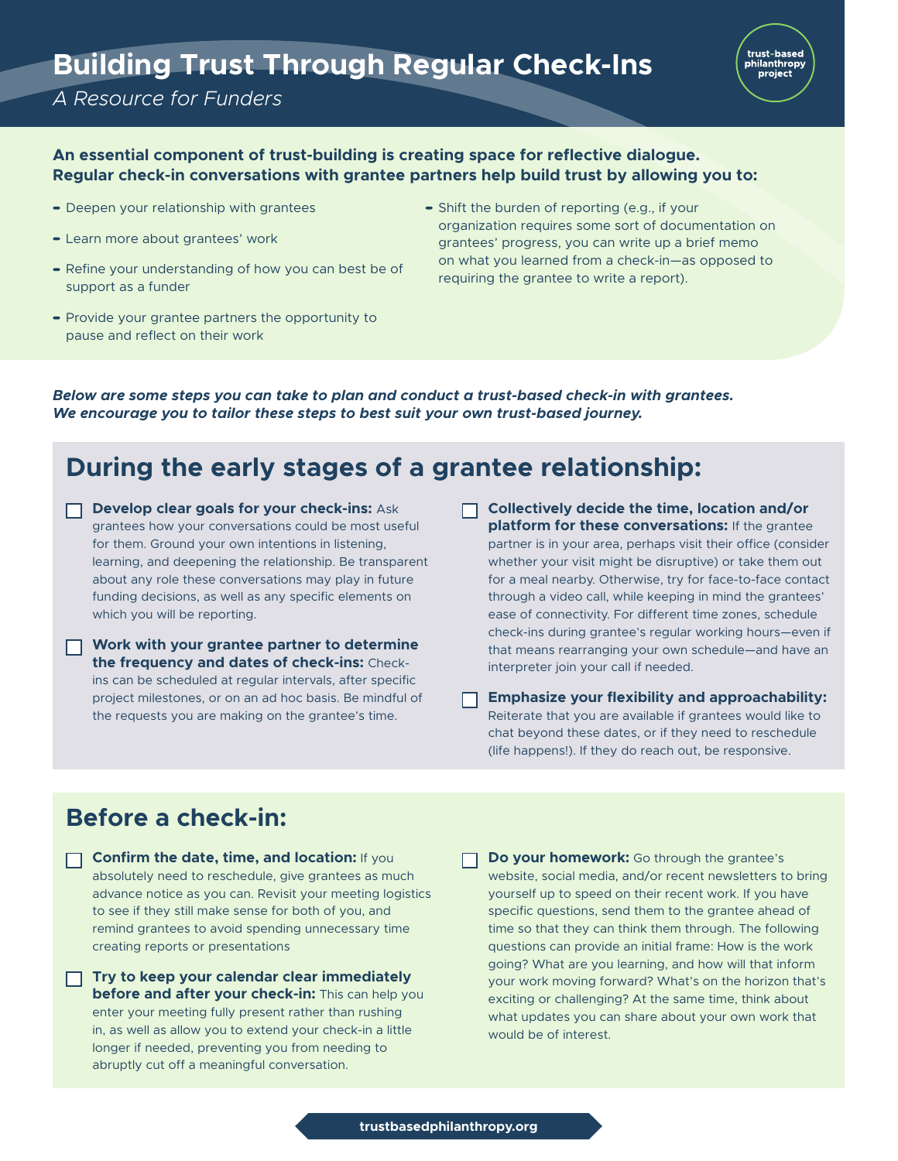# **Building Trust Through Regular Check-Ins**

#### *A Resource for Funders*



#### **An essential component of trust-building is creating space for reflective dialogue. Regular check-in conversations with grantee partners help build trust by allowing you to:**

- Deepen your relationship with grantees
- Learn more about grantees' work
- Refine your understanding of how you can best be of support as a funder
- $\bullet$  Provide your grantee partners the opportunity to pause and reflect on their work
- Shift the burden of reporting (e.g., if your organization requires some sort of documentation on grantees' progress, you can write up a brief memo on what you learned from a check-in—as opposed to requiring the grantee to write a report).

*Below are some steps you can take to plan and conduct a trust-based check-in with grantees. We encourage you to tailor these steps to best suit your own trust-based journey.*

# **During the early stages of a grantee relationship:**

- **Develop clear goals for your check-ins: Ask** grantees how your conversations could be most useful for them. Ground your own intentions in listening, learning, and deepening the relationship. Be transparent about any role these conversations may play in future funding decisions, as well as any specific elements on which you will be reporting.
- **Work with your grantee partner to determine the frequency and dates of check-ins:** Checkins can be scheduled at regular intervals, after specific project milestones, or on an ad hoc basis. Be mindful of the requests you are making on the grantee's time.
- **Collectively decide the time, location and/or**  П. **platform for these conversations:** If the grantee partner is in your area, perhaps visit their office (consider whether your visit might be disruptive) or take them out for a meal nearby. Otherwise, try for face-to-face contact through a video call, while keeping in mind the grantees' ease of connectivity. For different time zones, schedule check-ins during grantee's regular working hours—even if that means rearranging your own schedule—and have an interpreter join your call if needed.
- **Emphasize your flexibility and approachability:**  Reiterate that you are available if grantees would like to chat beyond these dates, or if they need to reschedule (life happens!). If they do reach out, be responsive.

## **Before a check-in:**

- **Confirm the date, time, and location:** If you absolutely need to reschedule, give grantees as much advance notice as you can. Revisit your meeting logistics to see if they still make sense for both of you, and remind grantees to avoid spending unnecessary time creating reports or presentations
- **Try to keep your calendar clear immediately before and after your check-in:** This can help you enter your meeting fully present rather than rushing in, as well as allow you to extend your check-in a little longer if needed, preventing you from needing to abruptly cut off a meaningful conversation.
- **Do your homework:** Go through the grantee's website, social media, and/or recent newsletters to bring yourself up to speed on their recent work. If you have specific questions, send them to the grantee ahead of time so that they can think them through. The following questions can provide an initial frame: How is the work going? What are you learning, and how will that inform your work moving forward? What's on the horizon that's exciting or challenging? At the same time, think about what updates you can share about your own work that would be of interest.